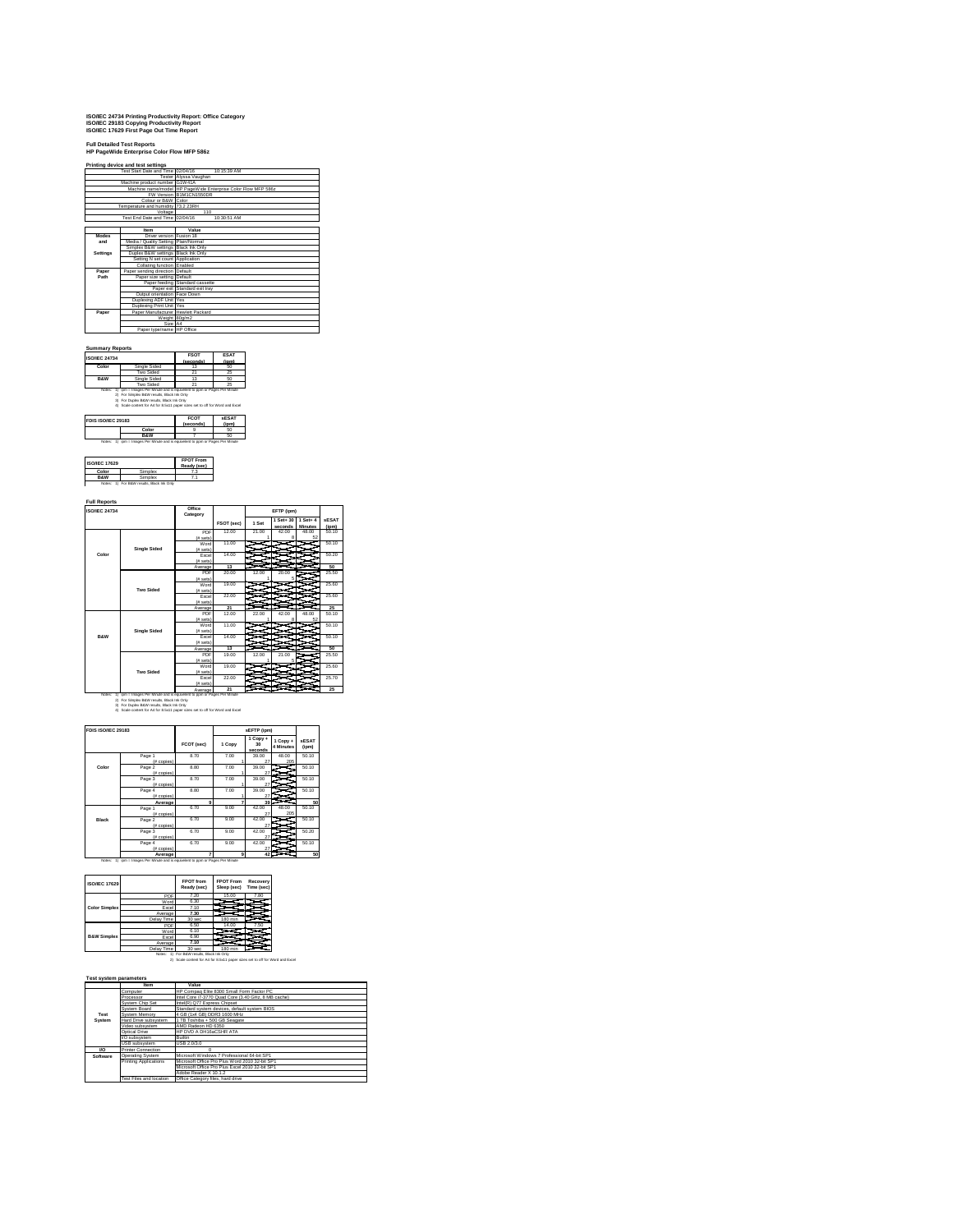# **ISO/IEC 24734 Printing Productivity Report: Office Category ISO/IEC 29183 Copying Productivity Report ISO/IEC 17629 First Page Out Time Report**

### **Full Detailed Test Reports HP PageWide Enterprise Color Flow MFP 586z Printing device and test settings**

|              | Filiming gevice and test setungs     |                                                               |  |  |  |  |
|--------------|--------------------------------------|---------------------------------------------------------------|--|--|--|--|
|              | Test Start Date and Time 02/04/16    | 10:15:39 AM                                                   |  |  |  |  |
|              |                                      | Tester Alvssa Vaughan                                         |  |  |  |  |
|              | Machine product number G1W41A        |                                                               |  |  |  |  |
|              |                                      | Machine name/model HP PageWide Enterprise Color Flow MFP 586z |  |  |  |  |
|              |                                      | FW Version B1M1CN1550DR                                       |  |  |  |  |
|              | Colour or B&W Color                  |                                                               |  |  |  |  |
|              | Temperature and humidity 73.2 23RH   |                                                               |  |  |  |  |
|              | Voltage                              | 110                                                           |  |  |  |  |
|              | Test End Date and Time 02/04/16      | 10:30:51 AM                                                   |  |  |  |  |
|              |                                      |                                                               |  |  |  |  |
|              | <b>Item</b>                          | Value                                                         |  |  |  |  |
| <b>Modes</b> | Driver version Fusion 18             |                                                               |  |  |  |  |
| and          | Media / Quality Setting Plain/Normal |                                                               |  |  |  |  |
|              | Simplex B&W settings Black Ink Only  |                                                               |  |  |  |  |
| Settings     | Duplex B&W settings Black Ink Only   |                                                               |  |  |  |  |
|              | Setting N set count Application      |                                                               |  |  |  |  |
|              | Collating function Enabled           |                                                               |  |  |  |  |
| Paper        | Paper sending direction Default      |                                                               |  |  |  |  |
| Path         | Paper size setting Default           |                                                               |  |  |  |  |
|              |                                      | Paper feeding Standard cassette                               |  |  |  |  |
|              |                                      | Paper exit Standard exit trav                                 |  |  |  |  |
|              | Output orientation Face Down         |                                                               |  |  |  |  |
|              | Duplexing ADF Unit Yes               |                                                               |  |  |  |  |
|              | Duplexing Print Unit Yes             |                                                               |  |  |  |  |
| Paper        | Paper Manufacturer Hewlett Packard   |                                                               |  |  |  |  |
|              |                                      | Weight 80g/m2                                                 |  |  |  |  |
|              | Size A4                              |                                                               |  |  |  |  |
|              | Paper type/name HP Office            |                                                               |  |  |  |  |

## **Summary Reports ISO/IEC 24734 FSOT**

|                    | rsui<br>(seconds)        | езан<br>(ipm)                                                                                                                                                                                                                             |
|--------------------|--------------------------|-------------------------------------------------------------------------------------------------------------------------------------------------------------------------------------------------------------------------------------------|
| Single Sided       | 13                       | 50                                                                                                                                                                                                                                        |
| Two Sided          | 21                       | 25                                                                                                                                                                                                                                        |
| Single Sided       | 13                       | 60                                                                                                                                                                                                                                        |
| Two Sided          | 21                       | 25                                                                                                                                                                                                                                        |
|                    |                          |                                                                                                                                                                                                                                           |
| FDIS ISO/IEC 29183 | <b>FCOT</b><br>(seconds) | <b>SESAT</b><br>(ipm)                                                                                                                                                                                                                     |
|                    |                          | iom = Images Per Minute and is equivalent to com or Pages Per Minute<br>For Simplex B&W results. Black Ink Only<br>For Duplex B&W results. Black Ink Only<br>4) Scale content for A4 for 8.5x11 paper sizes set to off for Word and Excel |

|                                                                                 | <br>------- |
|---------------------------------------------------------------------------------|-------------|
| Color                                                                           |             |
| <b>R&amp;W</b>                                                                  |             |
| Notes: 1) jorn = Images Per Minute and is equivalent to com or Pages Per Minute |             |

| <b>ISO/IEC 17629</b> | <b>FPUIFFOM</b><br>Ready (sec)     |  |
|----------------------|------------------------------------|--|
| Color                | mnlex                              |  |
| <b>R&amp;W</b>       | Simplex                            |  |
|                      | 1) For B&W results, Black Ink Only |  |

| <b>ISO/IEC 24734</b> |                     | Office<br>Category |            |       | EFTP (jpm)           |                               |                       |
|----------------------|---------------------|--------------------|------------|-------|----------------------|-------------------------------|-----------------------|
|                      |                     |                    | FSOT (sec) | 1 Set | 1 Set+ 30<br>seconds | $1 Set + 4$<br><b>Minutes</b> | <b>sESAT</b><br>(ipm) |
|                      |                     | PDF                | 12.00      | 21.00 | 42.00                | 48.00                         | 50.10                 |
|                      |                     | (f# sets)          |            |       |                      | 52                            |                       |
|                      |                     | Word               | 11.00      |       |                      |                               | 50.10                 |
|                      | <b>Single Sided</b> | (it sees)          |            |       |                      |                               |                       |
| Color                |                     | Excel              | 14.00      |       |                      |                               | 50.20                 |
|                      |                     | (f# sets)          |            |       |                      |                               |                       |
|                      |                     | Average            | 13         |       |                      |                               | 50                    |
|                      |                     | PDF                | 20.00      | 12.00 | 20.00                |                               | 25.50                 |
|                      |                     | (f# sets)          |            |       | б                    |                               |                       |
|                      |                     | Word               | 19.00      |       |                      |                               | 25.60                 |
|                      | <b>Two Sided</b>    | $(fE)$ sets)       |            |       |                      |                               |                       |
|                      |                     | Excel              | 22.00      |       |                      |                               | 25.60                 |
|                      |                     | $(fE)$ sets)       |            |       |                      |                               |                       |
|                      |                     | Average            | 21         |       |                      |                               | 25                    |
|                      |                     | PDF                | 12.00      | 22.00 | 42.00                | 48.00                         | 50.10                 |
|                      |                     | (# sets)           | 11.00      |       |                      | 52                            | 50.10                 |
|                      | <b>Single Sided</b> | Word               |            |       |                      |                               |                       |
| <b>B&amp;W</b>       |                     | $(fE)$ sets)       | 14.00      |       |                      |                               | 50.10                 |
|                      |                     | Excel              |            |       |                      |                               |                       |
|                      |                     | $(fE)$ sets)       | 13         |       |                      |                               | 50                    |
|                      |                     | Average<br>PDF     | 19.00      | 12.00 | 21.00                |                               | 25.50                 |
|                      |                     | (f# sets)          |            |       |                      |                               |                       |
|                      |                     | Word               | 19.00      |       |                      |                               | 25.60                 |
|                      | <b>Two Sided</b>    | (f# sets)          |            |       |                      |                               |                       |
|                      |                     | Excel              | 22.00      |       |                      |                               | 25.70                 |
|                      |                     | $(fE)$ sets)       |            |       |                      |                               |                       |
|                      |                     | Average            | 21         |       |                      |                               | 25                    |

# those: 1) jom = Images Per Minute and is equivalent to some 1911<br>2) For Simplex B&W results, Black Ink Only to point or Pages Per Minute<br>3) For Dimplex B&W results, Black Ink Only<br>4) Scale content for A4 for 8.5x11 paper s

| FDIS ISO/IEC 29183 |                          |            |              | sEFTP (ipm)               |                       |                       |
|--------------------|--------------------------|------------|--------------|---------------------------|-----------------------|-----------------------|
|                    |                          | FCOT (sec) | 1 Copy       | 1 Copy +<br>30<br>seconds | 1 Copy +<br>4 Minutes | <b>sESAT</b><br>(ipm) |
|                    | Page 1<br>(# copies)     | 8.70       | 7.00         | 39.00<br>27               | 48.00<br>205          | 50.10                 |
| Color              | Page 2<br>(# copies)     | 8.80       | 7.00         | 39.00<br>27               |                       | 50.10                 |
|                    | Page 3<br>(# copies)     | 8.70       | 7.00         | 39.00<br>27               |                       | 50.10                 |
|                    | Page 4<br>$#$ copies $)$ | 8.80       | 7.00         | 39.00<br>27               |                       | 50.10                 |
|                    | Average                  | 9          | 7            | 39                        |                       | 50                    |
|                    | Page 1<br>(# copies)     | 6.70       | 9.00         | 42.00<br>27               | 48.00<br>205          | 50.10                 |
| Black              | Page 2<br>(# copies)     | 6.70       | 9.00         | 42.00<br>27               |                       | 50.10                 |
|                    | Page 3<br>(# copies)     | 6.70       | 9.00         | 42.00<br>27               |                       | 50.20                 |
|                    | Page 4<br>$#$ copies $)$ | 6.70       | 9.00         | 42.00<br>27               |                       | 50.10                 |
|                    | Average                  |            | $\mathbf{Q}$ | 42                        |                       | 50                    |

| <b>ISO/IEC 17629</b>   |              | <b>FPOT</b> from<br>Ready (sec) | <b>FPOT From</b><br>Sleep (sec) | Recovery<br>Time (sec) |
|------------------------|--------------|---------------------------------|---------------------------------|------------------------|
|                        | PDF          | 7.20                            | 15.00                           | 7.80                   |
|                        | Word         | 6.30                            |                                 |                        |
| <b>Color Simplex</b>   | Excel        | 7.10                            |                                 |                        |
|                        | Average      | 7.30                            |                                 |                        |
|                        | Delay Time   | 30 sec                          | 180 min                         |                        |
|                        | <b>PDF</b>   | 6.50                            | 14.00                           | 7.50                   |
| <b>B&amp;W Simplex</b> | Word         | 6.10                            |                                 |                        |
|                        | <b>Fxcel</b> | 6.90                            |                                 |                        |
|                        | Average      | 7.10                            |                                 |                        |
|                        | Delay Time   | 30 sec                          | 180 min                         |                        |

## Delay Time | 30 sec | 180 min<br>Notes: 1) For B&W results, Black Ink Only<br>2) Scale content for A4 for 8.5x11 paper sizes set to off for Word and Exce

## **Test system parameters**

J.

|            | ltem                      | Value                                               |
|------------|---------------------------|-----------------------------------------------------|
|            | Computer                  | HP Compag Elite 8300 Small Form Factor PC           |
|            | Processor                 | Intel Core i7-3770 Quad Core (3.40 GHz, 8 MB cache) |
|            | System Chip Set           | Intel(R) Q77 Express Chipset                        |
|            | System Board              | Standard system devices, default system BIOS        |
| Test       | System Memory             | 4 GB (1x4 GB) DDR3 1600 MHz                         |
| System     | Hard Drive subsystem      | 1 TB Toshiba + 500 GB Seagate                       |
|            | Video subsystem           | AMD Radeon HD 6350                                  |
|            | Ontical Drive             | HP DVD A DH16sCSHR ATA                              |
|            | <b>VO</b> subsystem       | <b>Ruiltin</b>                                      |
|            | USB subsystem             | USB 2.0/3.0                                         |
| <b>I/O</b> | <b>Printer Connection</b> |                                                     |
| Software   | Operating System          | Microsoft Windows 7 Professional 64-bit SP1         |
|            | Printing Applications     | Microsoft Office Pro Plus Word 2010 32-bit SP1      |
|            |                           | Microsoft Office Pro Plus Excel 2010 32-bit SP1     |
|            |                           | Adobe Reader X 10.1.2                               |
|            | Test Files and location   | Office Category files, hard drive                   |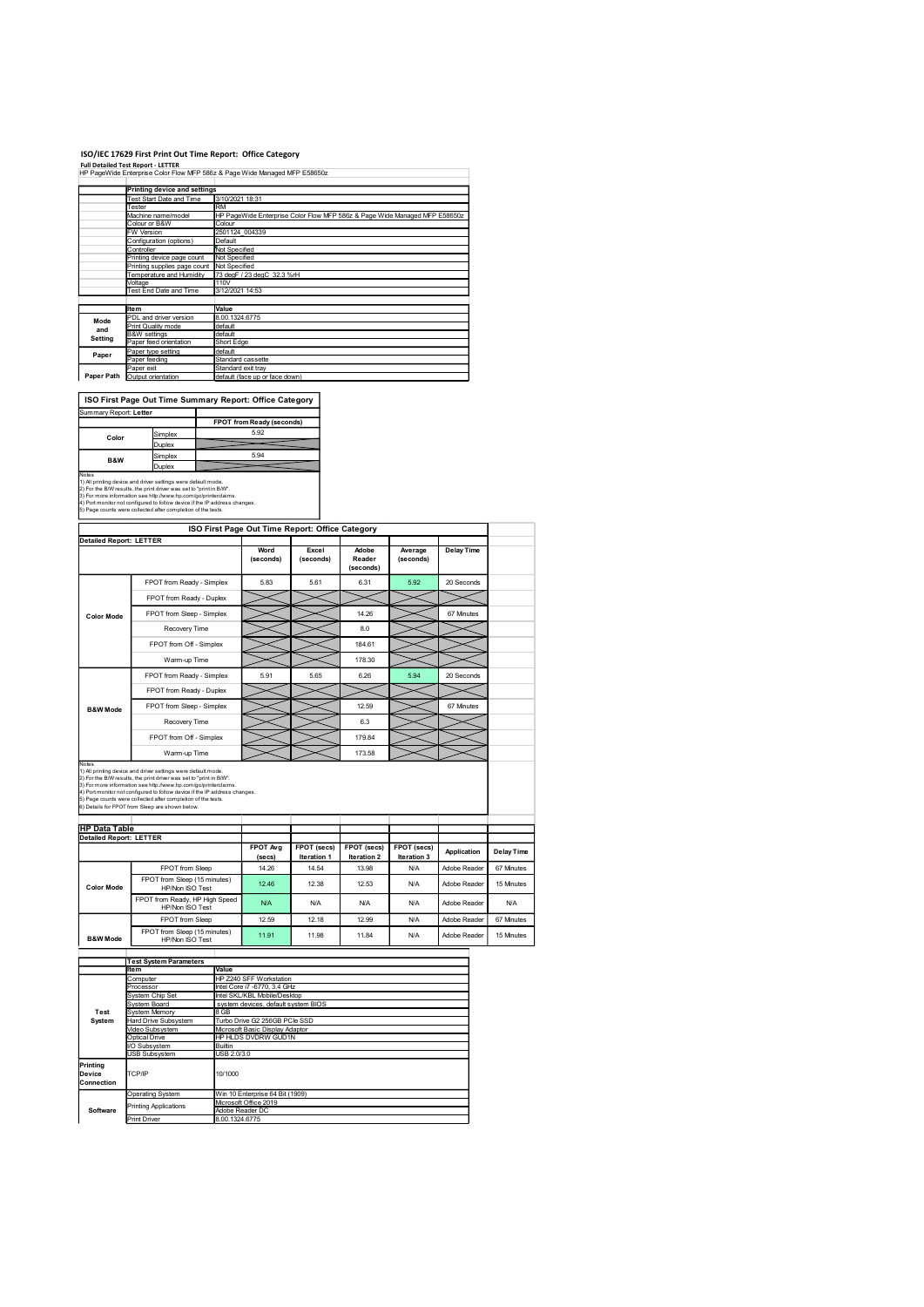## ISO/IEC 17629 First Print Out Time Report: Office Category

|                        | <b>Full Detailed Test Report - LETTER</b>                       | ISO/IEC 17629 First Print Out Time Report: Office Category                           |
|------------------------|-----------------------------------------------------------------|--------------------------------------------------------------------------------------|
|                        |                                                                 |                                                                                      |
|                        |                                                                 | HP PageWide Enterprise Color Flow MFP 586z & Page Wide Managed MFP E58650z           |
|                        |                                                                 |                                                                                      |
|                        | <b>Printing device and settings</b><br>Test Start Date and Time | 3/10/2021 18:31                                                                      |
|                        | Tester                                                          | <b>RM</b>                                                                            |
|                        | Machine name/model<br>Colour or B&W                             | HP PageWide Enterprise Color Flow MFP 586z & Page Wide Managed MFP E58650z<br>Colour |
|                        | W Version                                                       | 2501124_004339                                                                       |
|                        | Configuration (options)<br>Controller                           | Default<br>Not Specified                                                             |
|                        | Printing device page count                                      | Not Specified                                                                        |
|                        | Printing supplies page count<br>Temperature and Humidity        | Not Specified<br>73 degF / 23 degC 32.3 %rH                                          |
|                        | Voltage                                                         | 110V                                                                                 |
|                        | Test End Date and Time                                          | 3/12/2021 14:53                                                                      |
|                        | <b>Item</b>                                                     | Value                                                                                |
| Mode                   | PDL and driver version<br>Print Quality mode                    | 8.00.1324.6775<br>default                                                            |
| and<br>Setting         | <b>B&amp;W</b> settings                                         | default                                                                              |
|                        | Paper feed orientation<br>Paper type setting                    | Short Edge<br>default                                                                |
| Paper                  | Paper feeding                                                   | Standard cassette                                                                    |
|                        | Paper exit<br>Paper Path Output orientation                     | Standard exit tray<br>default (face up or face down)                                 |
|                        |                                                                 |                                                                                      |
|                        |                                                                 | ISO First Page Out Time Summary Report: Office Category                              |
| Summary Report: Letter |                                                                 |                                                                                      |
|                        |                                                                 | FPOT from Ready (seconds)                                                            |
| Color                  | Simplex                                                         | 5.92                                                                                 |
|                        | Duplex                                                          |                                                                                      |
| B&W                    | Simplex<br>Duplex                                               | 5.94                                                                                 |

| Summary Report: Letter                                                     |                                                              |                           |  |  |  |
|----------------------------------------------------------------------------|--------------------------------------------------------------|---------------------------|--|--|--|
|                                                                            |                                                              | FPOT from Ready (seconds) |  |  |  |
| Color                                                                      | Simplex                                                      | 5.92                      |  |  |  |
|                                                                            | Duplex                                                       |                           |  |  |  |
| B&W                                                                        | Simplex                                                      | 5.94                      |  |  |  |
|                                                                            | Duplex                                                       |                           |  |  |  |
| Notes                                                                      |                                                              |                           |  |  |  |
| 1) All printing device and driver settings were default mode.              |                                                              |                           |  |  |  |
| 2) For the B/W results, the print driver was set to "print in B/W".        |                                                              |                           |  |  |  |
| 3) For more information see http://www.hp.com/go/printerclaims.            |                                                              |                           |  |  |  |
| 4) Port monitor not configured to follow device if the IP address changes. |                                                              |                           |  |  |  |
|                                                                            | 5) Page counts were collected after completion of the tests. |                           |  |  |  |

|                                                  | HP Pagewide Enterprise Color Flow MFP 5862 & Page wide Managed MFP E586502                                                                                                                                    |                                         |                                                                  |                                                                            |                     |             |                   |                   |
|--------------------------------------------------|---------------------------------------------------------------------------------------------------------------------------------------------------------------------------------------------------------------|-----------------------------------------|------------------------------------------------------------------|----------------------------------------------------------------------------|---------------------|-------------|-------------------|-------------------|
|                                                  | <b>Printing device and settings</b><br>Test Start Date and Time                                                                                                                                               | 3/10/2021 18:31                         |                                                                  |                                                                            |                     |             |                   |                   |
|                                                  | Tester                                                                                                                                                                                                        | RM                                      |                                                                  |                                                                            |                     |             |                   |                   |
|                                                  | Machine name/model<br>Colour or B&W                                                                                                                                                                           | Colour                                  |                                                                  | HP PageWide Enterprise Color Flow MFP 586z & Page Wide Managed MFP E58650z |                     |             |                   |                   |
|                                                  | FW Version<br>Configuration (options)                                                                                                                                                                         | 2501124_004339<br>Default               |                                                                  |                                                                            |                     |             |                   |                   |
|                                                  | Controller<br>Printing device page count                                                                                                                                                                      | Not Specified<br>Not Specified          |                                                                  |                                                                            |                     |             |                   |                   |
|                                                  | Printing supplies page count Not Specified<br>Temperature and Humidity                                                                                                                                        |                                         | 73 degF / 23 degC 32.3 %rH                                       |                                                                            |                     |             |                   |                   |
|                                                  | Voltage<br>Test End Date and Time                                                                                                                                                                             | 110V<br>3/12/2021 14:53                 |                                                                  |                                                                            |                     |             |                   |                   |
|                                                  |                                                                                                                                                                                                               |                                         |                                                                  |                                                                            |                     |             |                   |                   |
| Mode                                             | Item<br>PDL and driver version                                                                                                                                                                                | Value<br>8.00.1324.6775                 |                                                                  |                                                                            |                     |             |                   |                   |
| and<br>Setting                                   | Print Quality mode<br><b>B&amp;W</b> settings                                                                                                                                                                 | default<br>default                      |                                                                  |                                                                            |                     |             |                   |                   |
|                                                  | aper feed orientation<br>Paper type setting                                                                                                                                                                   | Short Edge<br>default                   |                                                                  |                                                                            |                     |             |                   |                   |
| Paper                                            | Paper feeding<br>Paper exit                                                                                                                                                                                   | Standard cassette<br>Standard exit tray |                                                                  |                                                                            |                     |             |                   |                   |
|                                                  | Paper Path Output orientation                                                                                                                                                                                 |                                         | default (face up or face down)                                   |                                                                            |                     |             |                   |                   |
|                                                  | ISO First Page Out Time Summary Report: Office Category                                                                                                                                                       |                                         |                                                                  |                                                                            |                     |             |                   |                   |
| Summary Report: Letter                           |                                                                                                                                                                                                               |                                         |                                                                  |                                                                            |                     |             |                   |                   |
|                                                  |                                                                                                                                                                                                               |                                         | FPOT from Ready (seconds)                                        |                                                                            |                     |             |                   |                   |
| Color                                            | Simplex<br>Duplex                                                                                                                                                                                             |                                         | 5.92                                                             |                                                                            |                     |             |                   |                   |
| B&W                                              | Simplex                                                                                                                                                                                                       |                                         | 5.94                                                             |                                                                            |                     |             |                   |                   |
| Notes                                            | Duplex                                                                                                                                                                                                        |                                         |                                                                  |                                                                            |                     |             |                   |                   |
|                                                  | 1) All printing device and driver settings were default mode.<br>2) For the B/W results, the print driver was set to "print in B/W".                                                                          |                                         |                                                                  |                                                                            |                     |             |                   |                   |
|                                                  | 3) For more information see http://www.hp.com/go/printerclaims.<br>4) Port monitor not configured to follow device if the IP address changes.<br>5) Page counts were collected after completion of the tests. |                                         |                                                                  |                                                                            |                     |             |                   |                   |
|                                                  |                                                                                                                                                                                                               |                                         |                                                                  |                                                                            |                     |             |                   |                   |
| <b>Detailed Report: LETTER</b>                   |                                                                                                                                                                                                               |                                         |                                                                  | ISO First Page Out Time Report: Office Category                            |                     |             |                   |                   |
|                                                  |                                                                                                                                                                                                               |                                         | Word                                                             | Excel                                                                      | Adobe               | Average     | <b>Delay Time</b> |                   |
|                                                  |                                                                                                                                                                                                               |                                         | (seconds)                                                        | (seconds)                                                                  | Reader<br>(seconds) | (seconds)   |                   |                   |
|                                                  | FPOT from Ready - Simplex                                                                                                                                                                                     |                                         | 5.83                                                             | 5.61                                                                       | 6.31                | 5.92        | 20 Seconds        |                   |
|                                                  | FPOT from Ready - Duplex                                                                                                                                                                                      |                                         |                                                                  |                                                                            |                     |             |                   |                   |
| <b>Color Mode</b>                                | FPOT from Sleep - Simplex                                                                                                                                                                                     |                                         |                                                                  |                                                                            | 14.26               |             | 67 Minutes        |                   |
|                                                  | Recovery Time                                                                                                                                                                                                 |                                         |                                                                  |                                                                            | 8.0                 |             |                   |                   |
|                                                  | FPOT from Off - Simplex                                                                                                                                                                                       |                                         |                                                                  |                                                                            | 184.61              |             |                   |                   |
|                                                  | Warm-up Time                                                                                                                                                                                                  |                                         |                                                                  |                                                                            | 178.30              |             |                   |                   |
|                                                  | FPOT from Ready - Simplex                                                                                                                                                                                     |                                         | 5.91                                                             | 5.65                                                                       | 6.26                | 5.94        | 20 Seconds        |                   |
|                                                  | FPOT from Ready - Duplex                                                                                                                                                                                      |                                         |                                                                  |                                                                            |                     |             |                   |                   |
| <b>B&amp;W</b> Mode                              | FPOT from Sleep - Simplex                                                                                                                                                                                     |                                         |                                                                  |                                                                            | 12.59               |             | 67 Minutes        |                   |
|                                                  | Recovery Time                                                                                                                                                                                                 |                                         |                                                                  |                                                                            | 6.3                 |             |                   |                   |
|                                                  | FPOT from Off - Simplex                                                                                                                                                                                       |                                         |                                                                  |                                                                            | 179.84              |             |                   |                   |
|                                                  | Warm-up Time                                                                                                                                                                                                  |                                         |                                                                  |                                                                            | 173.58              |             |                   |                   |
|                                                  | Notes<br>1) All printing device and driver settings were default mode.                                                                                                                                        |                                         |                                                                  |                                                                            |                     |             |                   |                   |
|                                                  | 2) For the B/W results, the print driver was set to "print in B/W".<br>3) For more information see http://www.hp.com/go/printerclaims.                                                                        |                                         |                                                                  |                                                                            |                     |             |                   |                   |
|                                                  | 4) Port monitor not configured to follow device if the IP address changes.<br>5) Page counts were collected after completion of the tests.                                                                    |                                         |                                                                  |                                                                            |                     |             |                   |                   |
|                                                  | 6) Details for FPOT from Sleep are shown below.                                                                                                                                                               |                                         |                                                                  |                                                                            |                     |             |                   |                   |
| <b>HP Data Table<br/>Detailed Report: LETTER</b> |                                                                                                                                                                                                               |                                         |                                                                  |                                                                            |                     |             |                   |                   |
|                                                  |                                                                                                                                                                                                               |                                         | FPOT Avg                                                         | FPOT (secs)                                                                | FPOT (secs)         | FPOT (secs) |                   |                   |
|                                                  |                                                                                                                                                                                                               |                                         | (secs)                                                           | Iteration 1                                                                | Iteration 2         | Iteration 3 | Application       | <b>Delay Time</b> |
|                                                  | FPOT from Sleep<br>FPOT from Sleep (15 minutes)                                                                                                                                                               |                                         | 14.26                                                            | 14.54                                                                      | 13.98               | <b>N/A</b>  | Adobe Reader      | 67 Minutes        |
| <b>Color Mode</b>                                | HP/Non ISO Test                                                                                                                                                                                               |                                         | 12.46                                                            | 12.38                                                                      | 12.53               | <b>N/A</b>  | Adobe Reader      | 15 Minutes        |
|                                                  | FPOT from Ready, HP High Speed<br>HP/Non ISO Test                                                                                                                                                             |                                         | <b>N/A</b>                                                       | N/A                                                                        | N/A                 | <b>N/A</b>  | Adobe Reader      | <b>N/A</b>        |
|                                                  | FPOT from Sleep                                                                                                                                                                                               |                                         | 12.59                                                            | 12.18                                                                      | 12.99               | <b>N/A</b>  | Adobe Reader      | 67 Minutes        |
| <b>B&amp;W Mode</b>                              | FPOT from Sleep (15 minutes)<br>HP/Non ISO Test                                                                                                                                                               |                                         | 11.91                                                            | 11.98                                                                      | 11.84               | <b>N/A</b>  | Adobe Reader      | 15 Minutes        |
|                                                  |                                                                                                                                                                                                               |                                         |                                                                  |                                                                            |                     |             |                   |                   |
|                                                  | <b>Test System Parameters</b><br><b>Item</b>                                                                                                                                                                  | Value                                   |                                                                  |                                                                            |                     |             |                   |                   |
|                                                  | Computer                                                                                                                                                                                                      |                                         | HP Z240 SFF Workstation                                          |                                                                            |                     |             |                   |                   |
|                                                  | Processor<br>System Chip Set                                                                                                                                                                                  |                                         | Intel Core i7 -6770, 3.4 GHz<br>Intel SKL/KBL Mobile/Desktop     |                                                                            |                     |             |                   |                   |
| Test                                             | System Board<br>System Memory                                                                                                                                                                                 | 8 GB                                    | system devices, default system BIOS                              |                                                                            |                     |             |                   |                   |
| System                                           | Hard Drive Subsystem<br>Video Subsystem                                                                                                                                                                       |                                         | Turbo Drive G2 256GB PCIe SSD<br>Microsoft Basic Display Adaptor |                                                                            |                     |             |                   |                   |
|                                                  | Optical Drive                                                                                                                                                                                                 | <b>Builtin</b>                          | HP HLDS DVDRW GUD1N                                              |                                                                            |                     |             |                   |                   |
|                                                  | I/O Subsystem<br><b>USB Subsystem</b>                                                                                                                                                                         | USB 2.0/3.0                             |                                                                  |                                                                            |                     |             |                   |                   |
| Printing<br>Device                               | TCP/IP                                                                                                                                                                                                        | 10/1000                                 |                                                                  |                                                                            |                     |             |                   |                   |
| Connection                                       |                                                                                                                                                                                                               |                                         |                                                                  |                                                                            |                     |             |                   |                   |
|                                                  | Operating System                                                                                                                                                                                              |                                         | Win 10 Enterprise 64 Bit (1909)<br>Microsoft Office 2019         |                                                                            |                     |             |                   |                   |
| Software                                         | Printing Applications<br>Print Driver                                                                                                                                                                         | Adobe Reader DC<br>8.00.1324.6775       |                                                                  |                                                                            |                     |             |                   |                   |
|                                                  |                                                                                                                                                                                                               |                                         |                                                                  |                                                                            |                     |             |                   |                   |
|                                                  |                                                                                                                                                                                                               |                                         |                                                                  |                                                                            |                     |             |                   |                   |
|                                                  |                                                                                                                                                                                                               |                                         |                                                                  |                                                                            |                     |             |                   |                   |
|                                                  |                                                                                                                                                                                                               |                                         |                                                                  |                                                                            |                     |             |                   |                   |
|                                                  |                                                                                                                                                                                                               |                                         |                                                                  |                                                                            |                     |             |                   |                   |
|                                                  |                                                                                                                                                                                                               |                                         |                                                                  |                                                                            |                     |             |                   |                   |
|                                                  |                                                                                                                                                                                                               |                                         |                                                                  |                                                                            |                     |             |                   |                   |

|            | <b>Test System Parameters</b> |                                     |  |  |  |
|------------|-------------------------------|-------------------------------------|--|--|--|
|            | Item                          | Value                               |  |  |  |
|            | Computer                      | HP Z240 SFF Workstation             |  |  |  |
|            | Processor                     | Intel Core i7 -6770, 3.4 GHz        |  |  |  |
|            | System Chip Set               | Intel SKL/KBL Mobile/Desktop        |  |  |  |
|            | System Board                  | system devices, default system BIOS |  |  |  |
| Test       | System Memory                 | 8 GB                                |  |  |  |
| System     | Hard Drive Subsystem          | Turbo Drive G2 256GB PCIe SSD       |  |  |  |
|            | Video Subsystem               | Microsoft Basic Display Adaptor     |  |  |  |
|            | Optical Drive                 | HP HLDS DVDRW GUD1N                 |  |  |  |
|            | I/O Subsystem                 | <b>Builtin</b>                      |  |  |  |
|            | <b>USB Subsystem</b>          | USB 2.0/3.0                         |  |  |  |
| Printing   |                               |                                     |  |  |  |
| Device     | TCP/IP                        | 10/1000                             |  |  |  |
| Connection |                               |                                     |  |  |  |
|            | <b>Operating System</b>       | Win 10 Enterprise 64 Bit (1909)     |  |  |  |
|            | <b>Printing Applications</b>  | Microsoft Office 2019               |  |  |  |
| Software   |                               | Adobe Reader DC                     |  |  |  |
|            | <b>Print Driver</b>           | 8.00.1324.6775                      |  |  |  |